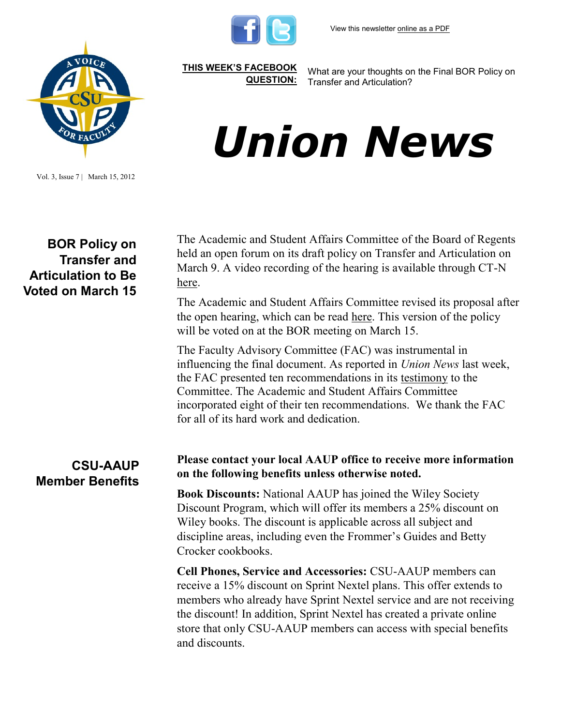

**[THIS WEEK'S FACEBOOK](http://www.facebook.com/csuaaup#!/pages/CSU-AAUP/112907808749535)  [QUESTION:](http://www.facebook.com/csuaaup#!/pages/CSU-AAUP/112907808749535)**

What are your thoughts on the Final BOR Policy on Transfer and Articulation?

# *Union News*

Vol. 3, Issue 7 | March 15, 2012

## **BOR Policy on Transfer and Articulation to Be Voted on March 15**

The Academic and Student Affairs Committee of the Board of Regents held an open forum on its draft policy on Transfer and Articulation on March 9. A video recording of the hearing is available through CT-N [here.](http://www.ctn.state.ct.us/webstream.asp?odID=7556&odTitle=CT%20Board%20of%20Regents%20for%20Higher%20Education%20Forum%20on%20Proposed%20Transfer%20Degree%20Policy&caption=true)

The Academic and Student Affairs Committee revised its proposal after the open hearing, which can be read [here.](http://www.csuaaup.org/wp-content/uploads/2012/03/FINALBORtransferpolicy.pdf) This version of the policy will be voted on at the BOR meeting on March 15.

The Faculty Advisory Committee (FAC) was instrumental in influencing the final document. As reported in *Union News* last week, the FAC presented ten recommendations in its [testimony](http://www.csuaaup.org/wp-content/uploads/2012/03/FAC-response-and-recommendations-to-BOR-transfer-and-articulation-policy.docx) to the Committee. The Academic and Student Affairs Committee incorporated eight of their ten recommendations. We thank the FAC for all of its hard work and dedication.

# **CSU-AAUP Member Benefits**

#### **Please contact your local AAUP office to receive more information on the following benefits unless otherwise noted.**

**Book Discounts:** National AAUP has joined the Wiley Society Discount Program, which will offer its members a 25% discount on Wiley books. The discount is applicable across all subject and discipline areas, including even the Frommer's Guides and Betty Crocker cookbooks.

**Cell Phones, Service and Accessories:** CSU-AAUP members can receive a 15% discount on Sprint Nextel plans. This offer extends to members who already have Sprint Nextel service and are not receiving the discount! In addition, Sprint Nextel has created a private online store that only CSU-AAUP members can access with special benefits and discounts.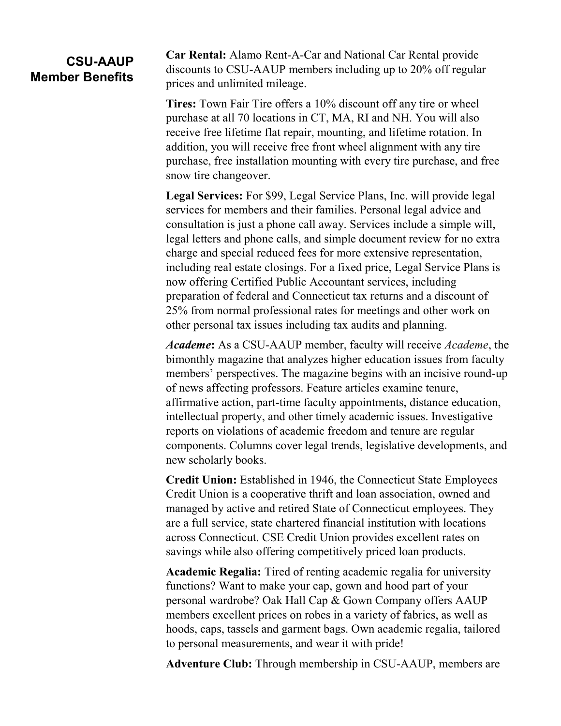## **CSU-AAUP Member Benefits**

**Car Rental:** Alamo Rent-A-Car and National Car Rental provide discounts to CSU-AAUP members including up to 20% off regular prices and unlimited mileage.

**Tires:** Town Fair Tire offers a 10% discount off any tire or wheel purchase at all 70 locations in CT, MA, RI and NH. You will also receive free lifetime flat repair, mounting, and lifetime rotation. In addition, you will receive free front wheel alignment with any tire purchase, free installation mounting with every tire purchase, and free snow tire changeover.

**Legal Services:** For \$99, Legal Service Plans, Inc. will provide legal services for members and their families. Personal legal advice and consultation is just a phone call away. Services include a simple will, legal letters and phone calls, and simple document review for no extra charge and special reduced fees for more extensive representation, including real estate closings. For a fixed price, Legal Service Plans is now offering Certified Public Accountant services, including preparation of federal and Connecticut tax returns and a discount of 25% from normal professional rates for meetings and other work on other personal tax issues including tax audits and planning.

*Academe***:** As a CSU-AAUP member, faculty will receive *Academe*, the bimonthly magazine that analyzes higher education issues from faculty members' perspectives. The magazine begins with an incisive round-up of news affecting professors. Feature articles examine tenure, affirmative action, part-time faculty appointments, distance education, intellectual property, and other timely academic issues. Investigative reports on violations of academic freedom and tenure are regular components. Columns cover legal trends, legislative developments, and new scholarly books.

**Credit Union:** Established in 1946, the Connecticut State Employees Credit Union is a cooperative thrift and loan association, owned and managed by active and retired State of Connecticut employees. They are a full service, state chartered financial institution with locations across Connecticut. CSE Credit Union provides excellent rates on savings while also offering competitively priced loan products.

**Academic Regalia:** Tired of renting academic regalia for university functions? Want to make your cap, gown and hood part of your personal wardrobe? Oak Hall Cap & Gown Company offers AAUP members excellent prices on robes in a variety of fabrics, as well as hoods, caps, tassels and garment bags. Own academic regalia, tailored to personal measurements, and wear it with pride!

**Adventure Club:** Through membership in CSU-AAUP, members are